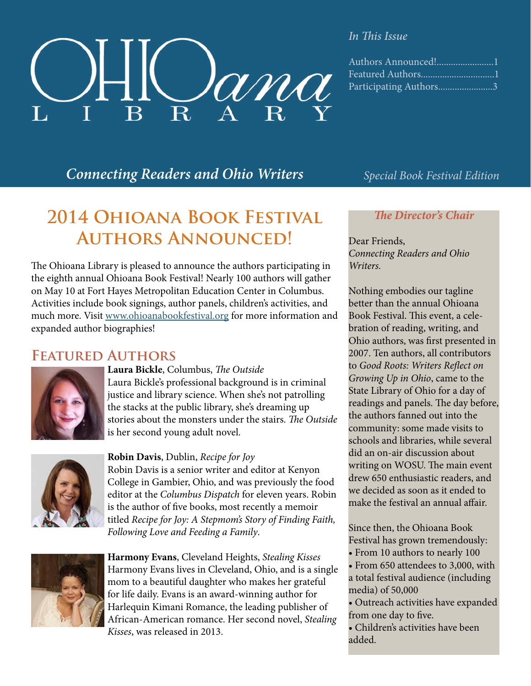

## *In This Issue*

| Authors Announced!1    |  |
|------------------------|--|
|                        |  |
| Participating Authors3 |  |

## *Connecting Readers and Ohio Writers Special Book Festival Edition*

# **2014 Ohioana Book Festival Authors Announced!**

The Ohioana Library is pleased to announce the authors participating in the eighth annual Ohioana Book Festival! Nearly 100 authors will gather on May 10 at Fort Hayes Metropolitan Education Center in Columbus. Activities include book signings, author panels, children's activities, and much more. Visit [www.ohioanabookfestival.org](http://www.ohioanabookfestival.org/) for more information and expanded author biographies!

## **Featured Authors**



## **Laura Bickle**, Columbus, *The Outside*

Laura Bickle's professional background is in criminal justice and library science. When she's not patrolling the stacks at the public library, she's dreaming up stories about the monsters under the stairs. *The Outside* is her second young adult novel.



## **Robin Davis**, Dublin, *Recipe for Joy*

Robin Davis is a senior writer and editor at Kenyon College in Gambier, Ohio, and was previously the food editor at the *Columbus Dispatch* for eleven years. Robin is the author of five books, most recently a memoir titled *Recipe for Joy: A Stepmom's Story of Finding Faith, Following Love and Feeding a Family*.



**Harmony Evans**, Cleveland Heights, *Stealing Kisses* Harmony Evans lives in Cleveland, Ohio, and is a single mom to a beautiful daughter who makes her grateful for life daily. Evans is an award-winning author for Harlequin Kimani Romance, the leading publisher of African-American romance. Her second novel, *Stealing Kisses*, was released in 2013.

## *The Director's Chair*

Dear Friends, *Connecting Readers and Ohio Writers.*

Nothing embodies our tagline better than the annual Ohioana Book Festival. This event, a celebration of reading, writing, and Ohio authors, was first presented in 2007. Ten authors, all contributors to *Good Roots: Writers Reflect on Growing Up in Ohio*, came to the State Library of Ohio for a day of readings and panels. The day before, the authors fanned out into the community: some made visits to schools and libraries, while several did an on-air discussion about writing on WOSU. The main event drew 650 enthusiastic readers, and we decided as soon as it ended to make the festival an annual affair.

Since then, the Ohioana Book Festival has grown tremendously:

- From 10 authors to nearly 100
- From 650 attendees to 3,000, with a total festival audience (including media) of 50,000
- Outreach activities have expanded from one day to five.
- Children's activities have been added.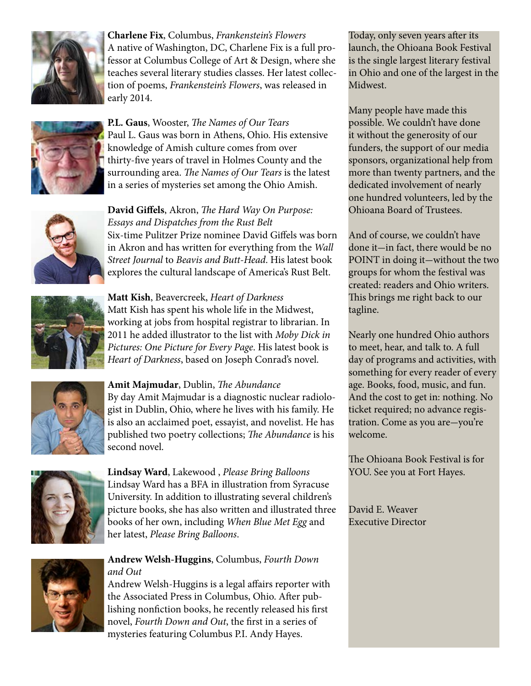

**Charlene Fix**, Columbus, *Frankenstein's Flowers* A native of Washington, DC, Charlene Fix is a full professor at Columbus College of Art & Design, where she teaches several literary studies classes. Her latest collection of poems, *Frankenstein's Flowers*, was released in early 2014.



**P.L. Gaus**, Wooster, *The Names of Our Tears* Paul L. Gaus was born in Athens, Ohio. His extensive knowledge of Amish culture comes from over thirty-five years of travel in Holmes County and the surrounding area. *The Names of Our Tears* is the latest in a series of mysteries set among the Ohio Amish.



**David Giffels**, Akron, *The Hard Way On Purpose: Essays and Dispatches from the Rust Belt* Six-time Pulitzer Prize nominee David Giffels was born in Akron and has written for everything from the *Wall Street Journal* to *Beavis and Butt-Head*. His latest book explores the cultural landscape of America's Rust Belt.



**Matt Kish**, Beavercreek, *Heart of Darkness* Matt Kish has spent his whole life in the Midwest, working at jobs from hospital registrar to librarian. In 2011 he added illustrator to the list with *Moby Dick in Pictures: One Picture for Every Page*. His latest book is *Heart of Darkness*, based on Joseph Conrad's novel.



**Amit Majmudar**, Dublin, *The Abundance* By day Amit Majmudar is a diagnostic nuclear radiologist in Dublin, Ohio, where he lives with his family. He is also an acclaimed poet, essayist, and novelist. He has published two poetry collections; *The Abundance* is his second novel.



**Lindsay Ward**, Lakewood , *Please Bring Balloons* Lindsay Ward has a BFA in illustration from Syracuse University. In addition to illustrating several children's picture books, she has also written and illustrated three books of her own, including *When Blue Met Egg* and her latest, *Please Bring Balloons*.



#### **Andrew Welsh-Huggins**, Columbus, *Fourth Down and Out*

Andrew Welsh-Huggins is a legal affairs reporter with the Associated Press in Columbus, Ohio. After publishing nonfiction books, he recently released his first novel, *Fourth Down and Out*, the first in a series of mysteries featuring Columbus P.I. Andy Hayes.

Today, only seven years after its launch, the Ohioana Book Festival is the single largest literary festival in Ohio and one of the largest in the Midwest.

Many people have made this possible. We couldn't have done it without the generosity of our funders, the support of our media sponsors, organizational help from more than twenty partners, and the dedicated involvement of nearly one hundred volunteers, led by the Ohioana Board of Trustees.

And of course, we couldn't have done it-in fact, there would be no POINT in doing it-without the two groups for whom the festival was created: readers and Ohio writers. This brings me right back to our tagline.

Nearly one hundred Ohio authors to meet, hear, and talk to. A full day of programs and activities, with something for every reader of every age. Books, food, music, and fun. And the cost to get in: nothing. No ticket required; no advance registration. Come as you are-you're welcome.

The Ohioana Book Festival is for YOU. See you at Fort Hayes.

David E. Weaver Executive Director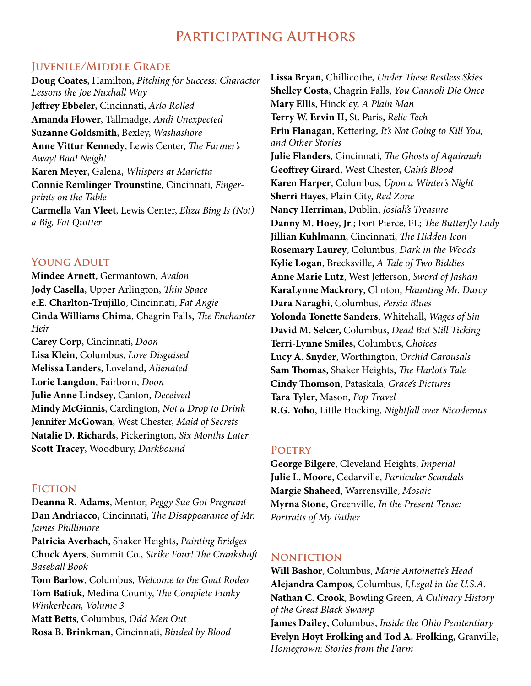## **Participating Authors**

## **Juvenile/Middle Grade**

**Doug Coates**, Hamilton, *Pitching for Success: Character Lessons the Joe Nuxhall Way* **Jeffrey Ebbeler**, Cincinnati, *Arlo Rolled* **Amanda Flower**, Tallmadge, *Andi Unexpected* **Suzanne Goldsmith**, Bexley, *Washashore* **Anne Vittur Kennedy**, Lewis Center, *The Farmer's Away! Baa! Neigh!*  **Karen Meyer**, Galena, *Whispers at Marietta* **Connie Remlinger Trounstine**, Cincinnati, *Fingerprints on the Table* **Carmella Van Vleet**, Lewis Center, *Eliza Bing Is (Not) a Big, Fat Quitter*

## **Young Adult**

**Mindee Arnett**, Germantown, *Avalon* **Jody Casella**, Upper Arlington, *Thin Space* **e.E. Charlton-Trujillo**, Cincinnati, *Fat Angie* **Cinda Williams Chima**, Chagrin Falls, *The Enchanter Heir* **Carey Corp**, Cincinnati, *Doon* **Lisa Klein**, Columbus, *Love Disguised* **Melissa Landers**, Loveland, *Alienated* **Lorie Langdon**, Fairborn, *Doon* **Julie Anne Lindsey**, Canton, *Deceived* **Mindy McGinnis**, Cardington, *Not a Drop to Drink* **Jennifer McGowan**, West Chester, *Maid of Secrets* **Natalie D. Richards**, Pickerington, *Six Months Later* **Scott Tracey**, Woodbury, *Darkbound*

#### **Fiction**

**Deanna R. Adams**, Mentor, *Peggy Sue Got Pregnant* **Dan Andriacco**, Cincinnati, *The Disappearance of Mr. James Phillimore* **Patricia Averbach**, Shaker Heights, *Painting Bridges* **Chuck Ayers**, Summit Co., *Strike Four! The Crankshaft Baseball Book* **Tom Barlow**, Columbus, *Welcome to the Goat Rodeo* **Tom Batiuk**, Medina County, *The Complete Funky Winkerbean, Volume 3* **Matt Betts**, Columbus, *Odd Men Out* **Rosa B. Brinkman**, Cincinnati, *Binded by Blood*

**Lissa Bryan**, Chillicothe, *Under These Restless Skies* **Shelley Costa**, Chagrin Falls, *You Cannoli Die Once* **Mary Ellis**, Hinckley, *A Plain Man* **Terry W. Ervin II**, St. Paris, *Relic Tech* **Erin Flanagan**, Kettering, *It's Not Going to Kill You, and Other Stories* **Julie Flanders**, Cincinnati, *The Ghosts of Aquinnah* **Geoffrey Girard**, West Chester, *Cain's Blood* **Karen Harper**, Columbus, *Upon a Winter's Night* **Sherri Hayes**, Plain City, *Red Zone* **Nancy Herriman**, Dublin, *Josiah's Treasure* **Danny M. Hoey, Jr**.; Fort Pierce, FL; *The Butterfly Lady* **Jillian Kuhlmann**, Cincinnati, *The Hidden Icon* **Rosemary Laurey**, Columbus, *Dark in the Woods* **Kylie Logan**, Brecksville, *A Tale of Two Biddies* **Anne Marie Lutz**, West Jefferson, *Sword of Jashan* **KaraLynne Mackrory**, Clinton, *Haunting Mr. Darcy* **Dara Naraghi**, Columbus, *Persia Blues* **Yolonda Tonette Sanders**, Whitehall, *Wages of Sin* **David M. Selcer,** Columbus, *Dead But Still Ticking* **Terri-Lynne Smiles**, Columbus, *Choices* **Lucy A. Snyder**, Worthington, *Orchid Carousals* **Sam Thomas**, Shaker Heights, *The Harlot's Tale* **Cindy Thomson**, Pataskala, *Grace's Pictures* **Tara Tyler**, Mason, *Pop Travel* **R.G. Yoho**, Little Hocking, *Nightfall over Nicodemus*

#### **Poetry**

**George Bilgere**, Cleveland Heights, *Imperial* **Julie L. Moore**, Cedarville, *Particular Scandals* **Margie Shaheed**, Warrensville, *Mosaic* **Myrna Stone**, Greenville, *In the Present Tense: Portraits of My Father*

## **Nonfiction**

**Will Bashor**, Columbus, *Marie Antoinette's Head* **Alejandra Campos**, Columbus, *I,Legal in the U.S.A.* **Nathan C. Crook**, Bowling Green, *A Culinary History of the Great Black Swamp* **James Dailey**, Columbus, *Inside the Ohio Penitentiary* **Evelyn Hoyt Frolking and Tod A. Frolking**, Granville, *Homegrown: Stories from the Farm*